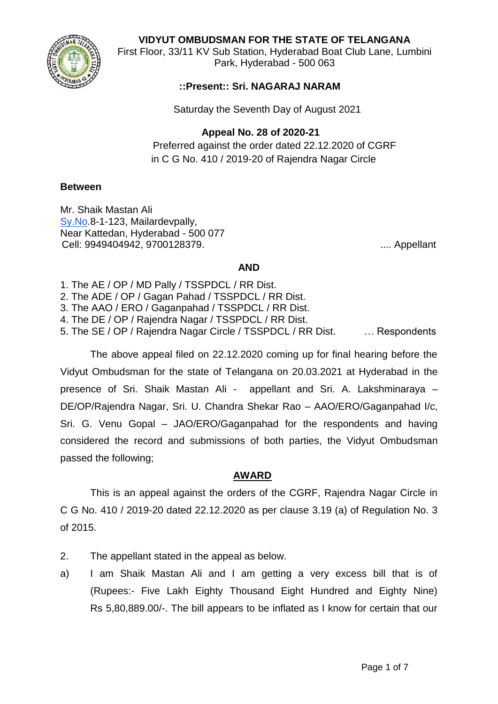**VIDYUT OMBUDSMAN FOR THE STATE OF TELANGANA**



First Floor, 33/11 KV Sub Station, Hyderabad Boat Club Lane, Lumbini Park, Hyderabad - 500 063

# **::Present:: Sri. NAGARAJ NARAM**

Saturday the Seventh Day of August 2021

#### **Appeal No. 28 of 2020-21**

Preferred against the order dated 22.12.2020 of CGRF in C G No. 410 / 2019-20 of Rajendra Nagar Circle

#### **Between**

Mr. Shaik Mastan Ali [Sy.No](http://sy.no/).8-1-123, Mailardevpally, Near Kattedan, Hyderabad - 500 077 Cell: 9949404942, 9700128379. .... Appellant

### **AND**

- 1. The AE / OP / MD Pally / TSSPDCL / RR Dist.
- 2. The ADE / OP / Gagan Pahad / TSSPDCL / RR Dist.
- 3. The AAO / ERO / Gaganpahad / TSSPDCL / RR Dist.
- 4. The DE / OP / Rajendra Nagar / TSSPDCL / RR Dist.
- 5. The SE / OP / Rajendra Nagar Circle / TSSPDCL / RR Dist. … Respondents

The above appeal filed on 22.12.2020 coming up for final hearing before the Vidyut Ombudsman for the state of Telangana on 20.03.2021 at Hyderabad in the presence of Sri. Shaik Mastan Ali - appellant and Sri. A. Lakshminaraya – DE/OP/Rajendra Nagar, Sri. U. Chandra Shekar Rao – AAO/ERO/Gaganpahad I/c, Sri. G. Venu Gopal – JAO/ERO/Gaganpahad for the respondents and having considered the record and submissions of both parties, the Vidyut Ombudsman passed the following;

## **AWARD**

This is an appeal against the orders of the CGRF, Rajendra Nagar Circle in C G No. 410 / 2019-20 dated 22.12.2020 as per clause 3.19 (a) of Regulation No. 3 of 2015.

- 2. The appellant stated in the appeal as below.
- a) I am Shaik Mastan Ali and I am getting a very excess bill that is of (Rupees:- Five Lakh Eighty Thousand Eight Hundred and Eighty Nine) Rs 5,80,889.00/-. The bill appears to be inflated as I know for certain that our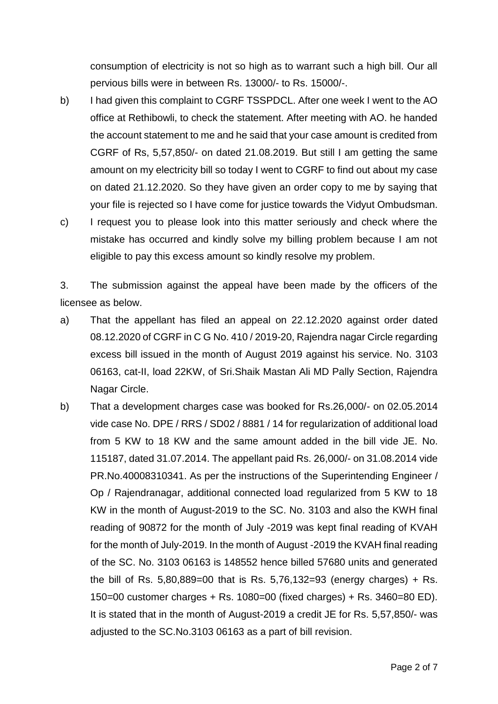consumption of electricity is not so high as to warrant such a high bill. Our all pervious bills were in between Rs. 13000/- to Rs. 15000/-.

- b) I had given this complaint to CGRF TSSPDCL. After one week I went to the AO office at Rethibowli, to check the statement. After meeting with AO. he handed the account statement to me and he said that your case amount is credited from CGRF of Rs, 5,57,850/- on dated 21.08.2019. But still I am getting the same amount on my electricity bill so today I went to CGRF to find out about my case on dated 21.12.2020. So they have given an order copy to me by saying that your file is rejected so I have come for justice towards the Vidyut Ombudsman.
- c) I request you to please look into this matter seriously and check where the mistake has occurred and kindly solve my billing problem because I am not eligible to pay this excess amount so kindly resolve my problem.

3. The submission against the appeal have been made by the officers of the licensee as below.

- a) That the appellant has filed an appeal on 22.12.2020 against order dated 08.12.2020 of CGRF in C G No. 410 / 2019-20, Rajendra nagar Circle regarding excess bill issued in the month of August 2019 against his service. No. 3103 06163, cat-II, load 22KW, of Sri.Shaik Mastan Ali MD Pally Section, Rajendra Nagar Circle.
- b) That a development charges case was booked for Rs.26,000/- on 02.05.2014 vide case No. DPE / RRS / SD02 / 8881 / 14 for regularization of additional load from 5 KW to 18 KW and the same amount added in the bill vide JE. No. 115187, dated 31.07.2014. The appellant paid Rs. 26,000/- on 31.08.2014 vide PR.No.40008310341. As per the instructions of the Superintending Engineer / Op / Rajendranagar, additional connected load regularized from 5 KW to 18 KW in the month of August-2019 to the SC. No. 3103 and also the KWH final reading of 90872 for the month of July -2019 was kept final reading of KVAH for the month of July-2019. In the month of August -2019 the KVAH final reading of the SC. No. 3103 06163 is 148552 hence billed 57680 units and generated the bill of Rs.  $5,80,889=00$  that is Rs.  $5,76,132=93$  (energy charges) + Rs. 150=00 customer charges + Rs. 1080=00 (fixed charges) + Rs. 3460=80 ED). It is stated that in the month of August-2019 a credit JE for Rs. 5,57,850/- was adjusted to the SC.No.3103 06163 as a part of bill revision.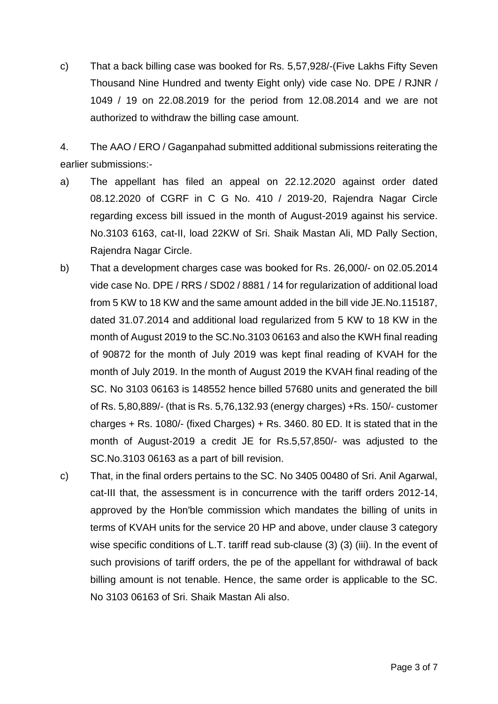c) That a back billing case was booked for Rs. 5,57,928/-(Five Lakhs Fifty Seven Thousand Nine Hundred and twenty Eight only) vide case No. DPE / RJNR / 1049 / 19 on 22.08.2019 for the period from 12.08.2014 and we are not authorized to withdraw the billing case amount.

4. The AAO / ERO / Gaganpahad submitted additional submissions reiterating the earlier submissions:-

- a) The appellant has filed an appeal on 22.12.2020 against order dated 08.12.2020 of CGRF in C G No. 410 / 2019-20, Rajendra Nagar Circle regarding excess bill issued in the month of August-2019 against his service. No.3103 6163, cat-II, load 22KW of Sri. Shaik Mastan Ali, MD Pally Section, Rajendra Nagar Circle.
- b) That a development charges case was booked for Rs. 26,000/- on 02.05.2014 vide case No. DPE / RRS / SD02 / 8881 / 14 for regularization of additional load from 5 KW to 18 KW and the same amount added in the bill vide JE.No.115187, dated 31.07.2014 and additional load regularized from 5 KW to 18 KW in the month of August 2019 to the SC.No.3103 06163 and also the KWH final reading of 90872 for the month of July 2019 was kept final reading of KVAH for the month of July 2019. In the month of August 2019 the KVAH final reading of the SC. No 3103 06163 is 148552 hence billed 57680 units and generated the bill of Rs. 5,80,889/- (that is Rs. 5,76,132.93 (energy charges) +Rs. 150/- customer charges + Rs. 1080/- (fixed Charges) + Rs. 3460. 80 ED. It is stated that in the month of August-2019 a credit JE for Rs.5,57,850/- was adjusted to the SC.No.3103 06163 as a part of bill revision.
- c) That, in the final orders pertains to the SC. No 3405 00480 of Sri. Anil Agarwal, cat-III that, the assessment is in concurrence with the tariff orders 2012-14, approved by the Hon'ble commission which mandates the billing of units in terms of KVAH units for the service 20 HP and above, under clause 3 category wise specific conditions of L.T. tariff read sub-clause (3) (3) (iii). In the event of such provisions of tariff orders, the pe of the appellant for withdrawal of back billing amount is not tenable. Hence, the same order is applicable to the SC. No 3103 06163 of Sri. Shaik Mastan Ali also.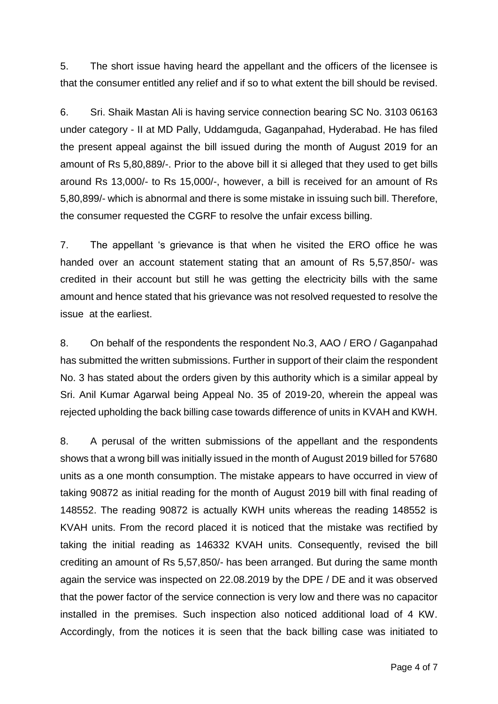5. The short issue having heard the appellant and the officers of the licensee is that the consumer entitled any relief and if so to what extent the bill should be revised.

6. Sri. Shaik Mastan Ali is having service connection bearing SC No. 3103 06163 under category - II at MD Pally, Uddamguda, Gaganpahad, Hyderabad. He has filed the present appeal against the bill issued during the month of August 2019 for an amount of Rs 5,80,889/-. Prior to the above bill it si alleged that they used to get bills around Rs 13,000/- to Rs 15,000/-, however, a bill is received for an amount of Rs 5,80,899/- which is abnormal and there is some mistake in issuing such bill. Therefore, the consumer requested the CGRF to resolve the unfair excess billing.

7. The appellant 's grievance is that when he visited the ERO office he was handed over an account statement stating that an amount of Rs 5,57,850/- was credited in their account but still he was getting the electricity bills with the same amount and hence stated that his grievance was not resolved requested to resolve the issue at the earliest.

8. On behalf of the respondents the respondent No.3, AAO / ERO / Gaganpahad has submitted the written submissions. Further in support of their claim the respondent No. 3 has stated about the orders given by this authority which is a similar appeal by Sri. Anil Kumar Agarwal being Appeal No. 35 of 2019-20, wherein the appeal was rejected upholding the back billing case towards difference of units in KVAH and KWH.

8. A perusal of the written submissions of the appellant and the respondents shows that a wrong bill was initially issued in the month of August 2019 billed for 57680 units as a one month consumption. The mistake appears to have occurred in view of taking 90872 as initial reading for the month of August 2019 bill with final reading of 148552. The reading 90872 is actually KWH units whereas the reading 148552 is KVAH units. From the record placed it is noticed that the mistake was rectified by taking the initial reading as 146332 KVAH units. Consequently, revised the bill crediting an amount of Rs 5,57,850/- has been arranged. But during the same month again the service was inspected on 22.08.2019 by the DPE / DE and it was observed that the power factor of the service connection is very low and there was no capacitor installed in the premises. Such inspection also noticed additional load of 4 KW. Accordingly, from the notices it is seen that the back billing case was initiated to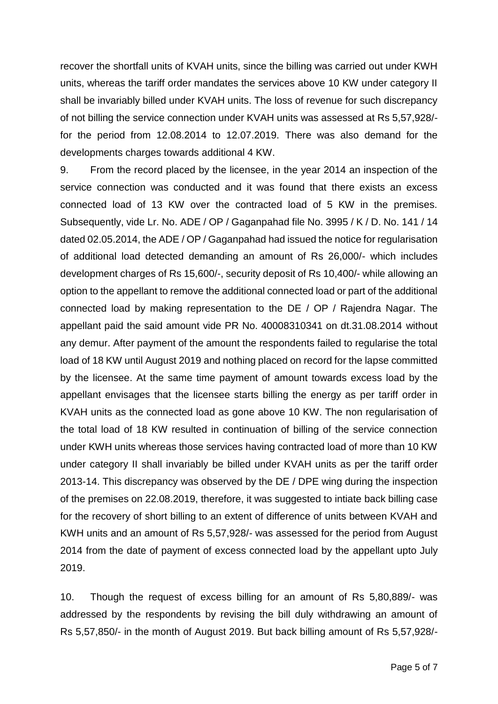recover the shortfall units of KVAH units, since the billing was carried out under KWH units, whereas the tariff order mandates the services above 10 KW under category II shall be invariably billed under KVAH units. The loss of revenue for such discrepancy of not billing the service connection under KVAH units was assessed at Rs 5,57,928/ for the period from 12.08.2014 to 12.07.2019. There was also demand for the developments charges towards additional 4 KW.

9. From the record placed by the licensee, in the year 2014 an inspection of the service connection was conducted and it was found that there exists an excess connected load of 13 KW over the contracted load of 5 KW in the premises. Subsequently, vide Lr. No. ADE / OP / Gaganpahad file No. 3995 / K / D. No. 141 / 14 dated 02.05.2014, the ADE / OP / Gaganpahad had issued the notice for regularisation of additional load detected demanding an amount of Rs 26,000/- which includes development charges of Rs 15,600/-, security deposit of Rs 10,400/- while allowing an option to the appellant to remove the additional connected load or part of the additional connected load by making representation to the DE / OP / Rajendra Nagar. The appellant paid the said amount vide PR No. 40008310341 on dt.31.08.2014 without any demur. After payment of the amount the respondents failed to regularise the total load of 18 KW until August 2019 and nothing placed on record for the lapse committed by the licensee. At the same time payment of amount towards excess load by the appellant envisages that the licensee starts billing the energy as per tariff order in KVAH units as the connected load as gone above 10 KW. The non regularisation of the total load of 18 KW resulted in continuation of billing of the service connection under KWH units whereas those services having contracted load of more than 10 KW under category II shall invariably be billed under KVAH units as per the tariff order 2013-14. This discrepancy was observed by the DE / DPE wing during the inspection of the premises on 22.08.2019, therefore, it was suggested to intiate back billing case for the recovery of short billing to an extent of difference of units between KVAH and KWH units and an amount of Rs 5,57,928/- was assessed for the period from August 2014 from the date of payment of excess connected load by the appellant upto July 2019.

10. Though the request of excess billing for an amount of Rs 5,80,889/- was addressed by the respondents by revising the bill duly withdrawing an amount of Rs 5,57,850/- in the month of August 2019. But back billing amount of Rs 5,57,928/-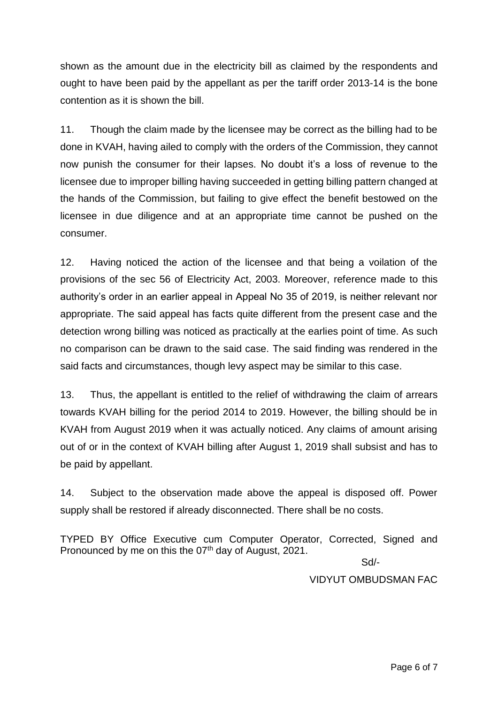shown as the amount due in the electricity bill as claimed by the respondents and ought to have been paid by the appellant as per the tariff order 2013-14 is the bone contention as it is shown the bill.

11. Though the claim made by the licensee may be correct as the billing had to be done in KVAH, having ailed to comply with the orders of the Commission, they cannot now punish the consumer for their lapses. No doubt it's a loss of revenue to the licensee due to improper billing having succeeded in getting billing pattern changed at the hands of the Commission, but failing to give effect the benefit bestowed on the licensee in due diligence and at an appropriate time cannot be pushed on the consumer.

12. Having noticed the action of the licensee and that being a voilation of the provisions of the sec 56 of Electricity Act, 2003. Moreover, reference made to this authority's order in an earlier appeal in Appeal No 35 of 2019, is neither relevant nor appropriate. The said appeal has facts quite different from the present case and the detection wrong billing was noticed as practically at the earlies point of time. As such no comparison can be drawn to the said case. The said finding was rendered in the said facts and circumstances, though levy aspect may be similar to this case.

13. Thus, the appellant is entitled to the relief of withdrawing the claim of arrears towards KVAH billing for the period 2014 to 2019. However, the billing should be in KVAH from August 2019 when it was actually noticed. Any claims of amount arising out of or in the context of KVAH billing after August 1, 2019 shall subsist and has to be paid by appellant.

14. Subject to the observation made above the appeal is disposed off. Power supply shall be restored if already disconnected. There shall be no costs.

TYPED BY Office Executive cum Computer Operator, Corrected, Signed and Pronounced by me on this the 07<sup>th</sup> day of August, 2021.

Sd/-

VIDYUT OMBUDSMAN FAC